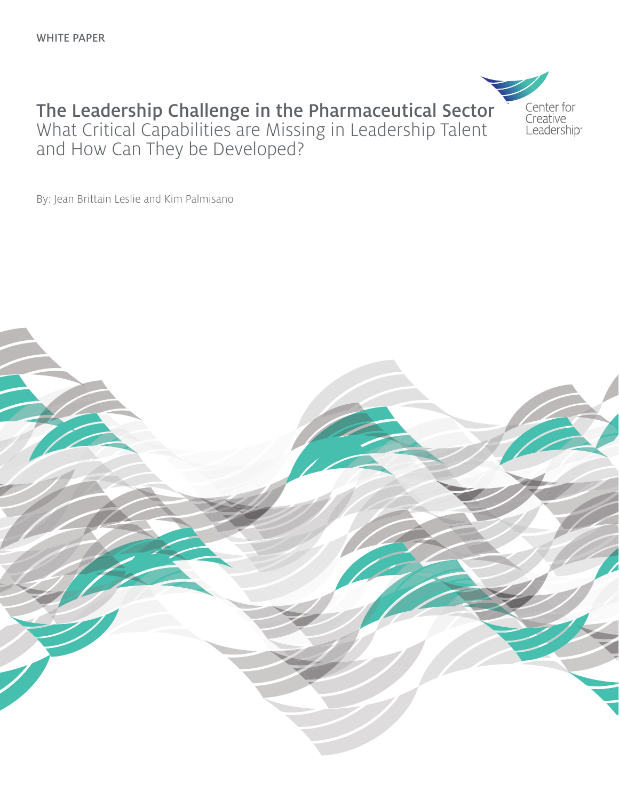### The Leadership Challenge in the Pharmaceutical Sector

Center for Creative Leadership<sup>®</sup>

What Critical Capabilities are Missing in Leadership Talent and How Can They be Developed?

By: Jean Brittain Leslie and Kim Palmisano

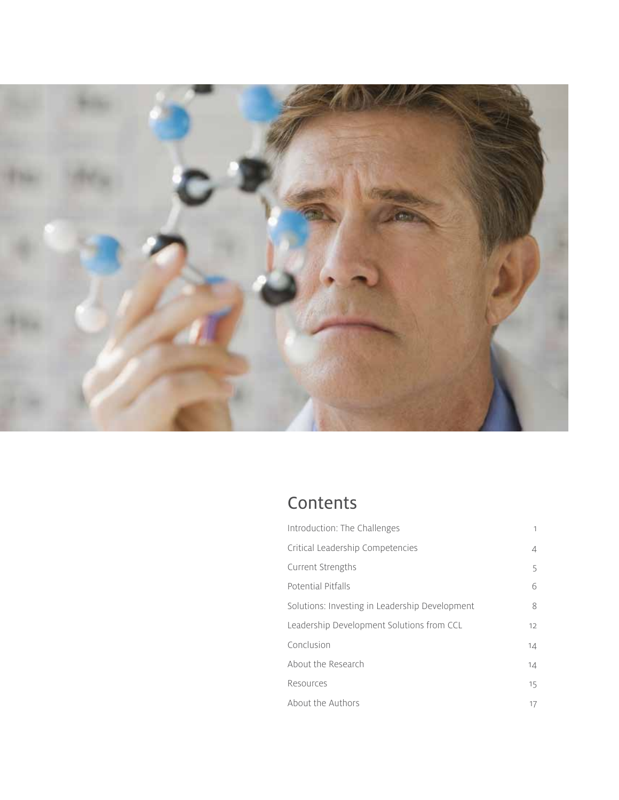

## **Contents**

| Introduction: The Challenges                   | 1  |
|------------------------------------------------|----|
| Critical Leadership Competencies               | 4  |
| Current Strengths                              | 5  |
| Potential Pitfalls                             | 6  |
| Solutions: Investing in Leadership Development | 8  |
| Leadership Development Solutions from CCL      | 12 |
| Conclusion                                     | 14 |
| About the Research                             | 14 |
| Resources                                      | 15 |
| About the Authors                              | 17 |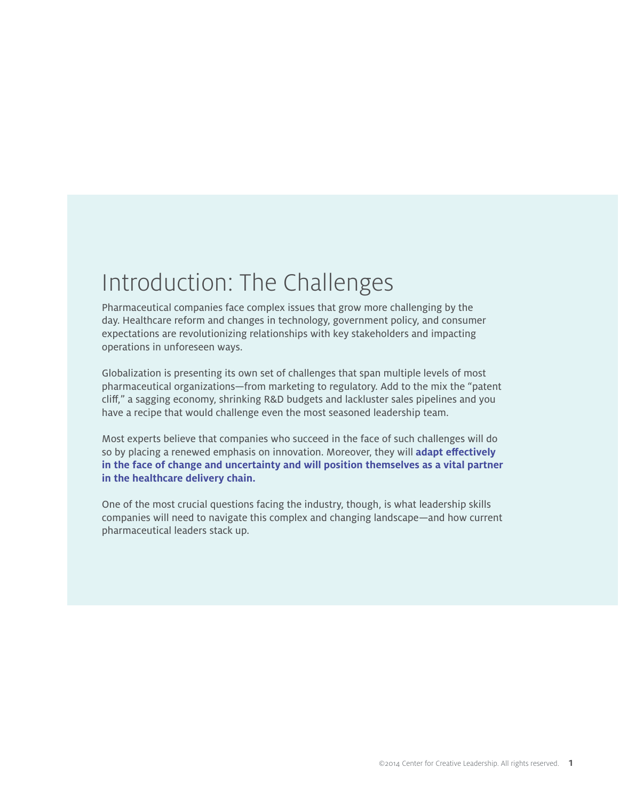# Introduction: The Challenges

Pharmaceutical companies face complex issues that grow more challenging by the day. Healthcare reform and changes in technology, government policy, and consumer expectations are revolutionizing relationships with key stakeholders and impacting operations in unforeseen ways.

Globalization is presenting its own set of challenges that span multiple levels of most pharmaceutical organizations—from marketing to regulatory. Add to the mix the "patent cliff," a sagging economy, shrinking R&D budgets and lackluster sales pipelines and you have a recipe that would challenge even the most seasoned leadership team.

Most experts believe that companies who succeed in the face of such challenges will do so by placing a renewed emphasis on innovation. Moreover, they will **adapt effectively in the face of change and uncertainty and will position themselves as a vital partner in the healthcare delivery chain.**

One of the most crucial questions facing the industry, though, is what leadership skills companies will need to navigate this complex and changing landscape—and how current pharmaceutical leaders stack up.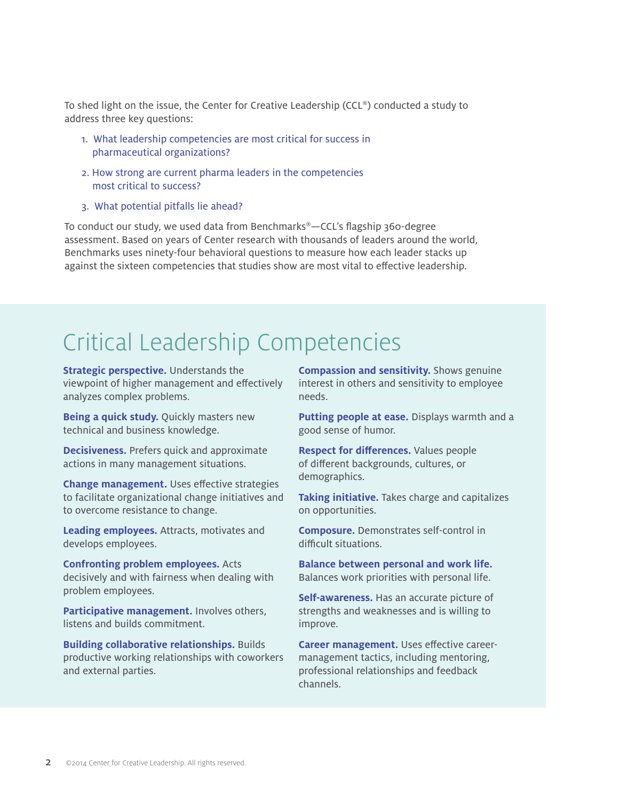To shed light on the issue, the Center for Creative Leadership (CCL®) conducted a study to address three key questions:

- 1. What leadership competencies are most critical for success in pharmaceutical organizations?
- 2. How strong are current pharma leaders in the competencies most critical to success?
- 3. What potential pitfalls lie ahead?

To conduct our study, we used data from Benchmarks®—CCL's flagship 360-degree assessment. Based on years of Center research with thousands of leaders around the world, Benchmarks uses ninety-four behavioral questions to measure how each leader stacks up against the sixteen competencies that studies show are most vital to effective leadership.

# Critical Leadership Competencies

**Strategic perspective.** Understands the viewpoint of higher management and effectively analyzes complex problems.

**Being a quick study.** Quickly masters new technical and business knowledge.

**Decisiveness.** Prefers quick and approximate actions in many management situations.

**Change management.** Uses effective strategies to facilitate organizational change initiatives and to overcome resistance to change.

**Leading employees.** Attracts, motivates and develops employees.

**Confronting problem employees.** Acts decisively and with fairness when dealing with problem employees.

**Participative management.** Involves others, listens and builds commitment.

**Building collaborative relationships.** Builds productive working relationships with coworkers and external parties.

**Compassion and sensitivity.** Shows genuine interest in others and sensitivity to employee needs.

**Putting people at ease.** Displays warmth and a good sense of humor.

**Respect for differences.** Values people of different backgrounds, cultures, or demographics.

**Taking initiative.** Takes charge and capitalizes on opportunities.

**Composure.** Demonstrates self-control in difficult situations.

**Balance between personal and work life.** Balances work priorities with personal life.

**Self-awareness.** Has an accurate picture of strengths and weaknesses and is willing to improve.

**Career management.** Uses effective careermanagement tactics, including mentoring, professional relationships and feedback channels.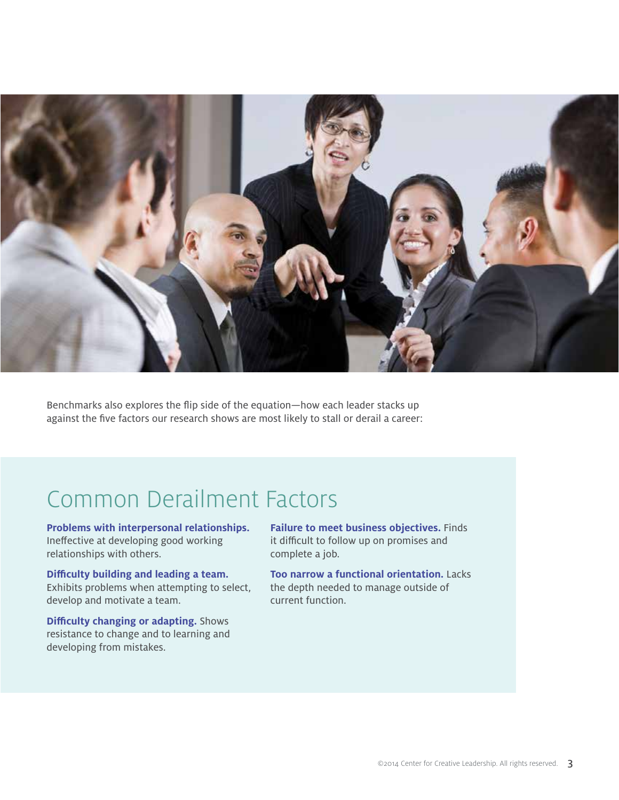

Benchmarks also explores the flip side of the equation—how each leader stacks up against the five factors our research shows are most likely to stall or derail a career:

# Common Derailment Factors

**Problems with interpersonal relationships.**  Ineffective at developing good working relationships with others.

**Difficulty building and leading a team.**  Exhibits problems when attempting to select, develop and motivate a team.

**Difficulty changing or adapting.** Shows resistance to change and to learning and developing from mistakes.

**Failure to meet business objectives.** Finds it difficult to follow up on promises and complete a job.

**Too narrow a functional orientation.** Lacks the depth needed to manage outside of current function.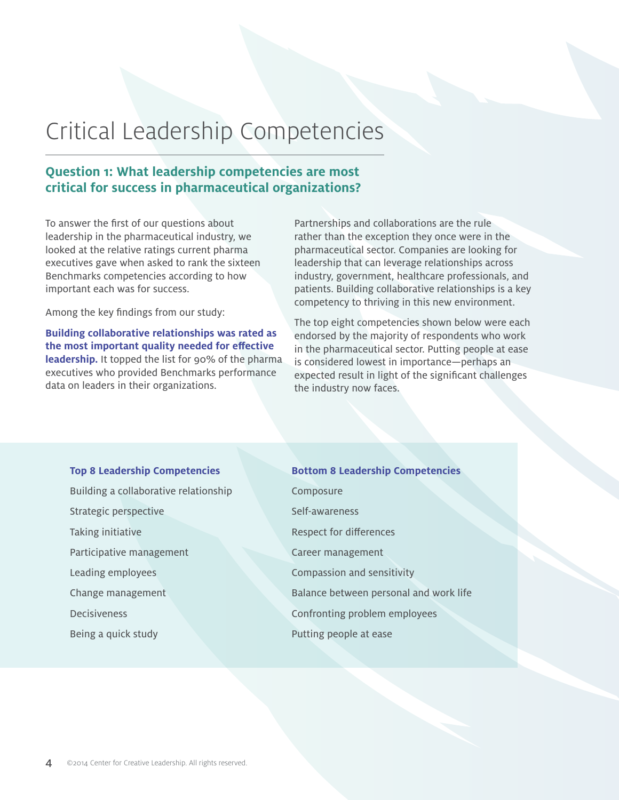# Critical Leadership Competencies

### **Question 1: What leadership competencies are most critical for success in pharmaceutical organizations?**

To answer the first of our questions about leadership in the pharmaceutical industry, we looked at the relative ratings current pharma executives gave when asked to rank the sixteen Benchmarks competencies according to how important each was for success.

Among the key findings from our study:

**Building collaborative relationships was rated as the most important quality needed for effective leadership.** It topped the list for 90% of the pharma executives who provided Benchmarks performance data on leaders in their organizations.

Partnerships and collaborations are the rule rather than the exception they once were in the pharmaceutical sector. Companies are looking for leadership that can leverage relationships across industry, government, healthcare professionals, and patients. Building collaborative relationships is a key competency to thriving in this new environment.

The top eight competencies shown below were each endorsed by the majority of respondents who work in the pharmaceutical sector. Putting people at ease is considered lowest in importance—perhaps an expected result in light of the significant challenges the industry now faces.

#### **Top 8 Leadership Competencies**

Building a collaborative relationship Strategic perspective Taking initiative Participative management Leading employees Change management Decisiveness Being a quick study

**Bottom 8 Leadership Competencies**  Composure Self-awareness Respect for differences Career management Compassion and sensitivity Balance between personal and work life Confronting problem employees Putting people at ease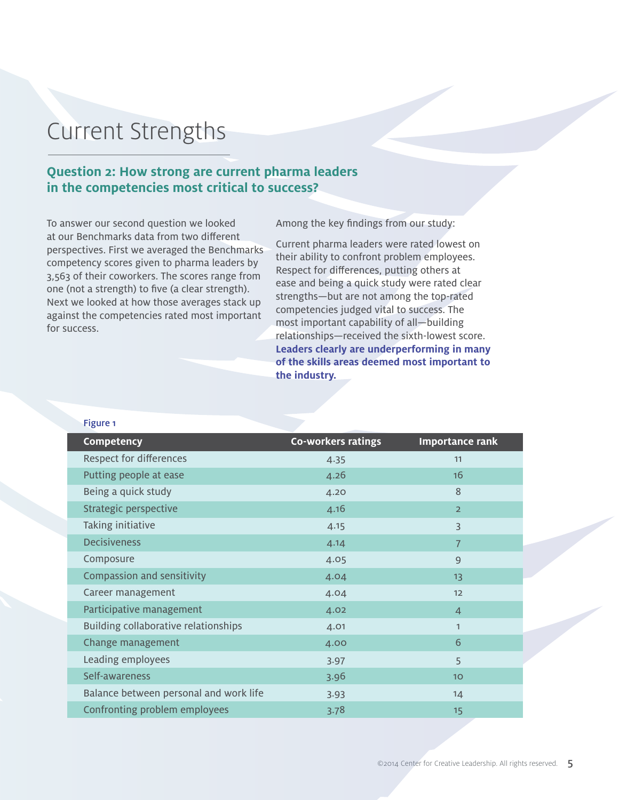# Current Strengths

### **Question 2: How strong are current pharma leaders in the competencies most critical to success?**

To answer our second question we looked at our Benchmarks data from two different perspectives. First we averaged the Benchmarks competency scores given to pharma leaders by 3,563 of their coworkers. The scores range from one (not a strength) to five (a clear strength). Next we looked at how those averages stack up against the competencies rated most important for success.

Among the key findings from our study:

Current pharma leaders were rated lowest on their ability to confront problem employees. Respect for differences, putting others at ease and being a quick study were rated clear strengths—but are not among the top-rated competencies judged vital to success. The most important capability of all—building relationships—received the sixth-lowest score. **Leaders clearly are underperforming in many of the skills areas deemed most important to the industry.** 

|  |  | ۰. |  |
|--|--|----|--|

| Competency                             | <b>Co-workers ratings</b> | <b>Importance rank</b>  |
|----------------------------------------|---------------------------|-------------------------|
| Respect for differences                | 4.35                      | 11                      |
| Putting people at ease                 | 4.26                      | 16                      |
| Being a quick study                    | 4.20                      | 8                       |
| Strategic perspective                  | 4.16                      | $\overline{2}$          |
| Taking initiative                      | 4.15                      | $\overline{\mathbf{3}}$ |
| <b>Decisiveness</b>                    | 4.14                      | $\overline{7}$          |
| Composure                              | 4.05                      | 9                       |
| Compassion and sensitivity             | 4.04                      | 13                      |
| Career management                      | 4.04                      | 12                      |
| Participative management               | 4.02                      | $\overline{4}$          |
| Building collaborative relationships   | 4.01                      | $\mathbf{1}$            |
| Change management                      | 4.00                      | 6                       |
| Leading employees                      | 3.97                      | 5                       |
| Self-awareness                         | 3.96                      | 10 <sup>°</sup>         |
| Balance between personal and work life | 3.93                      | 14                      |
| Confronting problem employees          | 3.78                      | 15                      |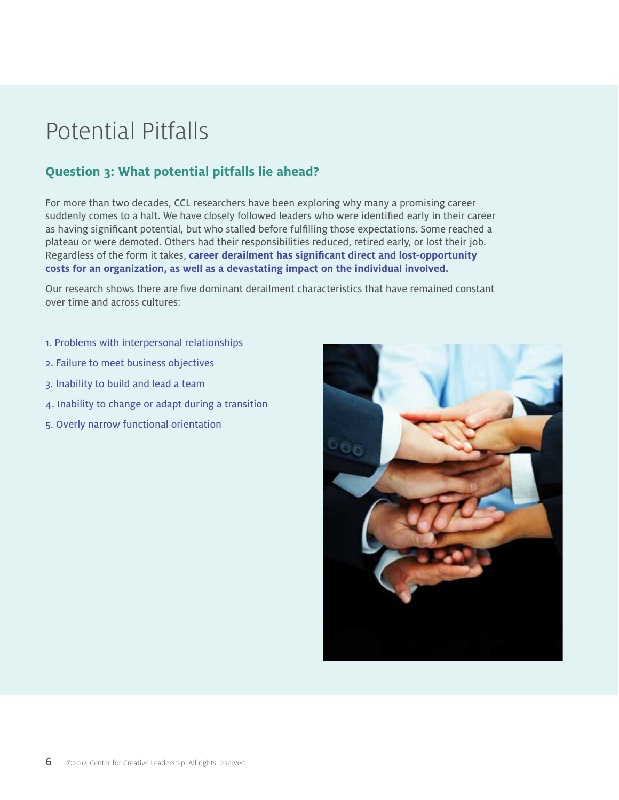# Potential Pitfalls

### **Question 3: What potential pitfalls lie ahead?**

For more than two decades, CCL researchers have been exploring why many a promising career suddenly comes to a halt. We have closely followed leaders who were identified early in their career as having significant potential, but who stalled before fulfilling those expectations. Some reached a plateau or were demoted. Others had their responsibilities reduced, retired early, or lost their job. Regardless of the form it takes, **career derailment has significant direct and lost-opportunity costs for an organization, as well as a devastating impact on the individual involved.**

Our research shows there are five dominant derailment characteristics that have remained constant over time and across cultures:

- 1. Problems with interpersonal relationships
- 2. Failure to meet business objectives
- 3. Inability to build and lead a team
- 4. Inability to change or adapt during a transition
- 5. Overly narrow functional orientation

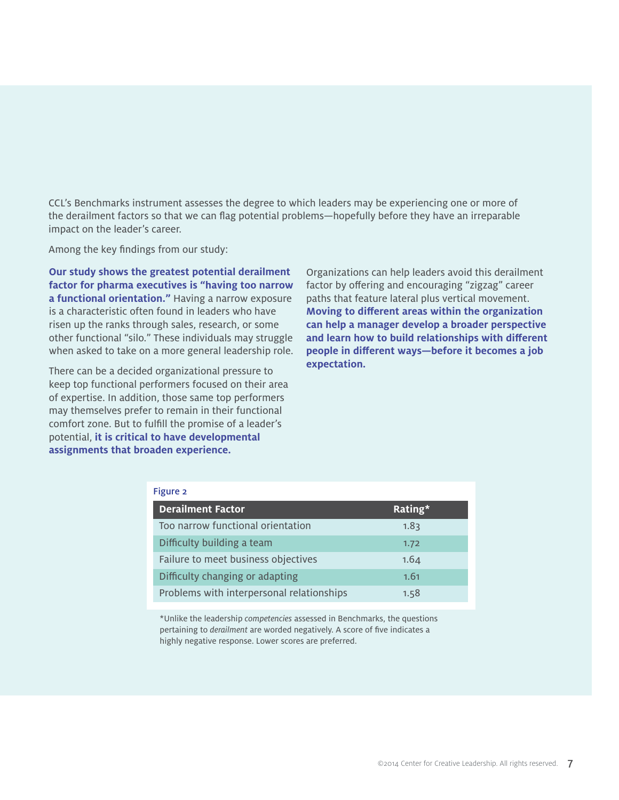CCL's Benchmarks instrument assesses the degree to which leaders may be experiencing one or more of the derailment factors so that we can flag potential problems—hopefully before they have an irreparable impact on the leader's career.

Among the key findings from our study:

**Our study shows the greatest potential derailment factor for pharma executives is "having too narrow a functional orientation."** Having a narrow exposure is a characteristic often found in leaders who have risen up the ranks through sales, research, or some other functional "silo." These individuals may struggle when asked to take on a more general leadership role.

There can be a decided organizational pressure to keep top functional performers focused on their area of expertise. In addition, those same top performers may themselves prefer to remain in their functional comfort zone. But to fulfill the promise of a leader's potential, **it is critical to have developmental assignments that broaden experience.**

Organizations can help leaders avoid this derailment factor by offering and encouraging "zigzag" career paths that feature lateral plus vertical movement. **Moving to different areas within the organization can help a manager develop a broader perspective and learn how to build relationships with different people in different ways—before it becomes a job expectation.**

|  | ۰.<br>w |  |
|--|---------|--|

| <b>Derailment Factor</b>                  | Rating* |
|-------------------------------------------|---------|
| Too narrow functional orientation         | 1.83    |
| Difficulty building a team                | 1.72    |
| Failure to meet business objectives       | 1.64    |
| Difficulty changing or adapting           | 1.61    |
| Problems with interpersonal relationships | 1.58    |

\*Unlike the leadership *competencies* assessed in Benchmarks, the questions pertaining to *derailment* are worded negatively. A score of five indicates a highly negative response. Lower scores are preferred.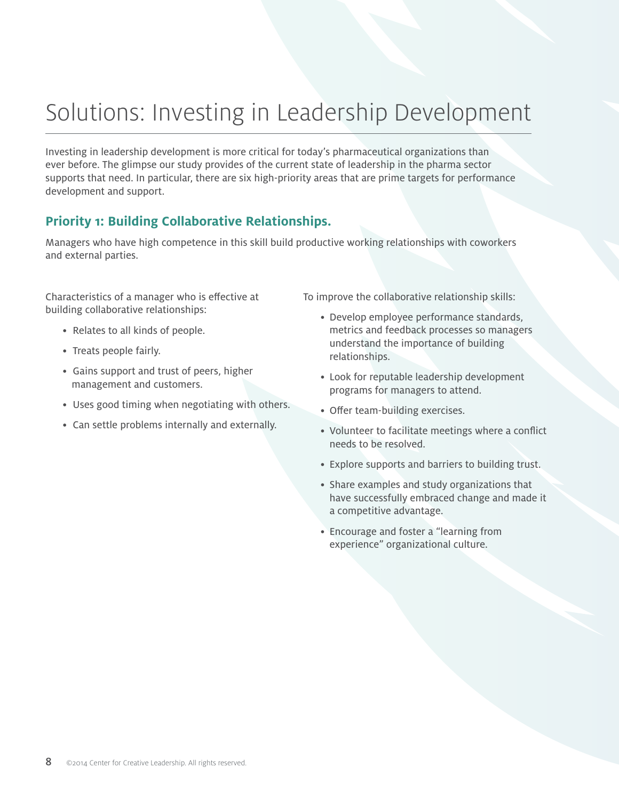# Solutions: Investing in Leadership Development

Investing in leadership development is more critical for today's pharmaceutical organizations than ever before. The glimpse our study provides of the current state of leadership in the pharma sector supports that need. In particular, there are six high-priority areas that are prime targets for performance development and support.

### **Priority 1: Building Collaborative Relationships.**

Managers who have high competence in this skill build productive working relationships with coworkers and external parties.

Characteristics of a manager who is effective at building collaborative relationships:

- Relates to all kinds of people.
- Treats people fairly.
- Gains support and trust of peers, higher management and customers.
- Uses good timing when negotiating with others.
- Can settle problems internally and externally.

To improve the collaborative relationship skills:

- Develop employee performance standards, metrics and feedback processes so managers understand the importance of building relationships.
- Look for reputable leadership development programs for managers to attend.
- Offer team-building exercises.
- Volunteer to facilitate meetings where a conflict needs to be resolved.
- Explore supports and barriers to building trust.
- Share examples and study organizations that have successfully embraced change and made it a competitive advantage.
- Encourage and foster a "learning from experience" organizational culture.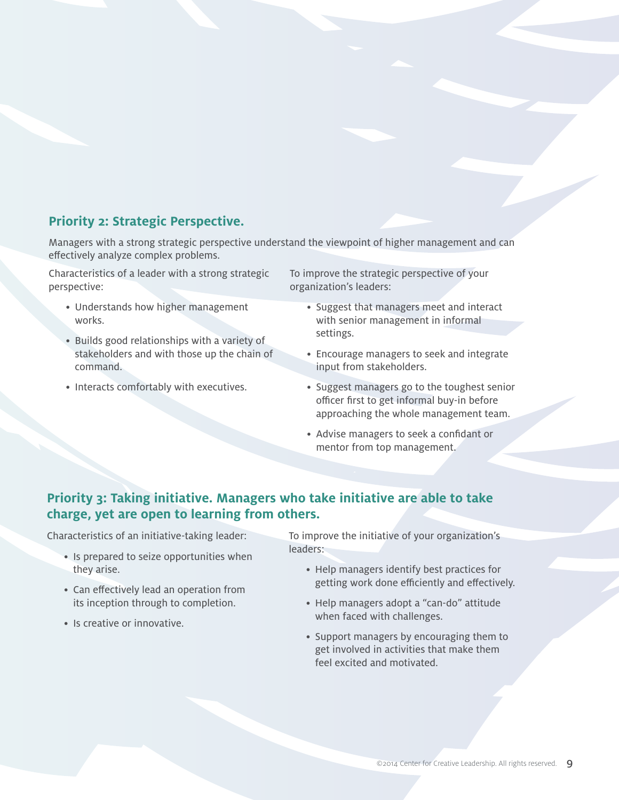### **Priority 2: Strategic Perspective.**

Managers with a strong strategic perspective understand the viewpoint of higher management and can effectively analyze complex problems.

Characteristics of a leader with a strong strategic perspective:

- Understands how higher management works.
- Builds good relationships with a variety of stakeholders and with those up the chain of command.
- Interacts comfortably with executives.

To improve the strategic perspective of your organization's leaders:

- Suggest that managers meet and interact with senior management in informal settings.
- Encourage managers to seek and integrate input from stakeholders.
- Suggest managers go to the toughest senior officer first to get informal buy-in before approaching the whole management team.
- Advise managers to seek a confidant or mentor from top management.

### **Priority 3: Taking initiative. Managers who take initiative are able to take charge, yet are open to learning from others.**

Characteristics of an initiative-taking leader:

- Is prepared to seize opportunities when they arise.
- Can effectively lead an operation from its inception through to completion.
- Is creative or innovative.

To improve the initiative of your organization's leaders:

- Help managers identify best practices for getting work done efficiently and effectively.
- Help managers adopt a "can-do" attitude when faced with challenges.
- Support managers by encouraging them to get involved in activities that make them feel excited and motivated.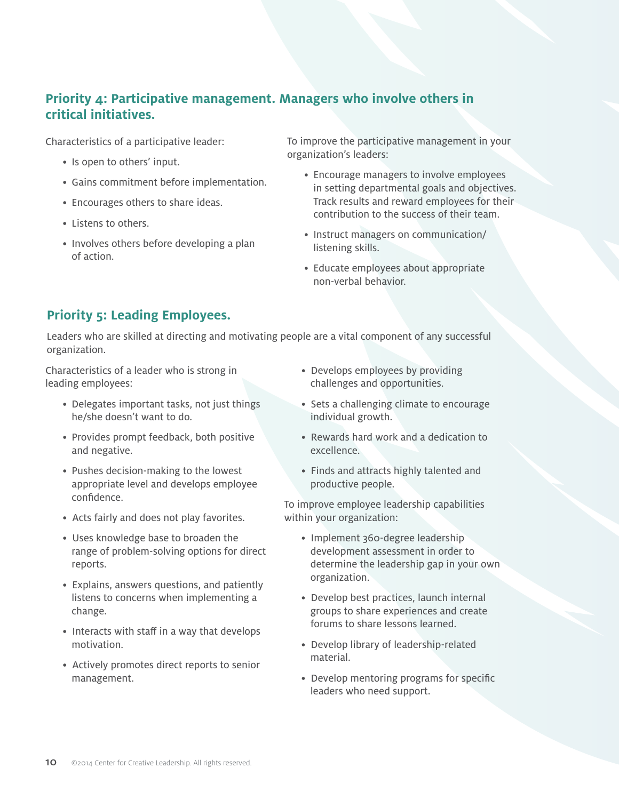### **Priority 4: Participative management. Managers who involve others in critical initiatives.**

Characteristics of a participative leader:

- Is open to others' input.
- Gains commitment before implementation.
- Encourages others to share ideas.
- Listens to others.
- Involves others before developing a plan of action.

To improve the participative management in your organization's leaders:

- Encourage managers to involve employees in setting departmental goals and objectives. Track results and reward employees for their contribution to the success of their team.
- Instruct managers on communication/ listening skills.
- Educate employees about appropriate non-verbal behavior.

### **Priority 5: Leading Employees.**

Leaders who are skilled at directing and motivating people are a vital component of any successful organization.

Characteristics of a leader who is strong in leading employees:

- Delegates important tasks, not just things he/she doesn't want to do.
- Provides prompt feedback, both positive and negative.
- Pushes decision-making to the lowest appropriate level and develops employee confidence.
- Acts fairly and does not play favorites.
- Uses knowledge base to broaden the range of problem-solving options for direct reports.
- Explains, answers questions, and patiently listens to concerns when implementing a change.
- Interacts with staff in a way that develops motivation.
- Actively promotes direct reports to senior management.
- Develops employees by providing challenges and opportunities.
- Sets a challenging climate to encourage individual growth.
- Rewards hard work and a dedication to excellence.
- Finds and attracts highly talented and productive people.

To improve employee leadership capabilities within your organization:

- Implement 360-degree leadership development assessment in order to determine the leadership gap in your own organization.
- Develop best practices, launch internal groups to share experiences and create forums to share lessons learned.
- Develop library of leadership-related material.
- Develop mentoring programs for specific leaders who need support.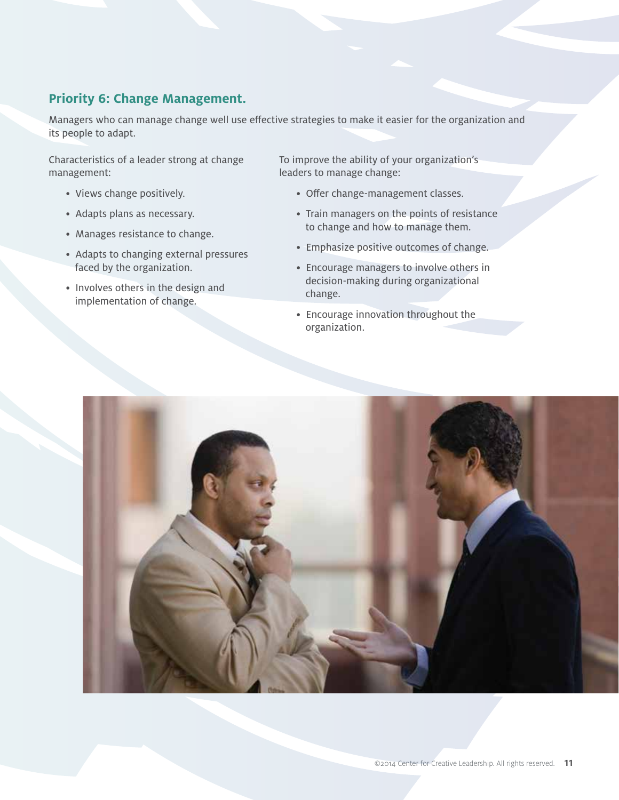### **Priority 6: Change Management.**

Managers who can manage change well use effective strategies to make it easier for the organization and its people to adapt.

Characteristics of a leader strong at change management:

- Views change positively.
- Adapts plans as necessary.
- Manages resistance to change.
- Adapts to changing external pressures faced by the organization.
- Involves others in the design and implementation of change.

To improve the ability of your organization's leaders to manage change:

- Offer change-management classes.
- Train managers on the points of resistance to change and how to manage them.
- Emphasize positive outcomes of change.
- Encourage managers to involve others in decision-making during organizational change.
- Encourage innovation throughout the organization.

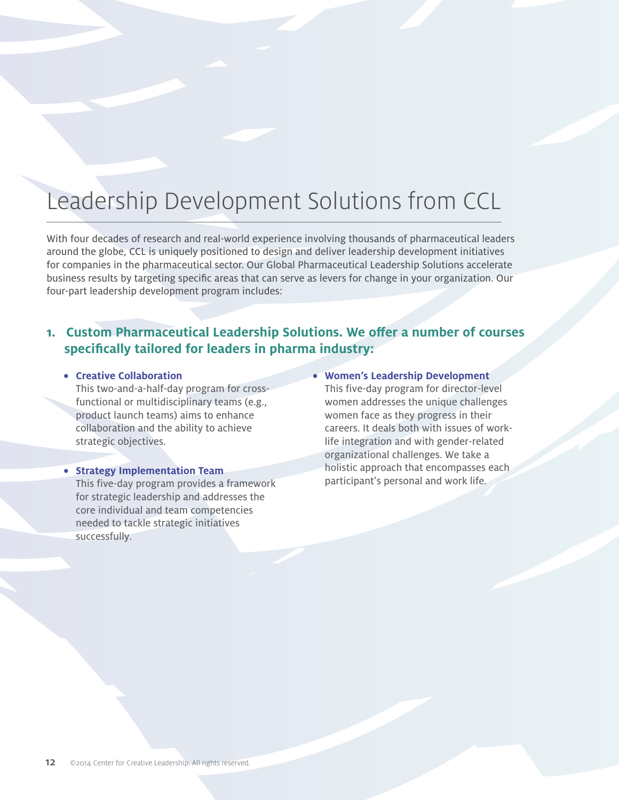# Leadership Development Solutions from CCL

With four decades of research and real-world experience involving thousands of pharmaceutical leaders around the globe, CCL is uniquely positioned to design and deliver leadership development initiatives for companies in the pharmaceutical sector. Our Global Pharmaceutical Leadership Solutions accelerate business results by targeting specific areas that can serve as levers for change in your organization. Our four-part leadership development program includes:

### **1. Custom Pharmaceutical Leadership Solutions. We offer a number of courses specifically tailored for leaders in pharma industry:**

#### **• Creative Collaboration**

This two-and-a-half-day program for crossfunctional or multidisciplinary teams (e.g., product launch teams) aims to enhance collaboration and the ability to achieve strategic objectives.

#### **• Strategy Implementation Team**

This five-day program provides a framework for strategic leadership and addresses the core individual and team competencies needed to tackle strategic initiatives successfully.

#### **• Women's Leadership Development** This five-day program for director-level women addresses the unique challenges women face as they progress in their careers. It deals both with issues of worklife integration and with gender-related organizational challenges. We take a holistic approach that encompasses each participant's personal and work life.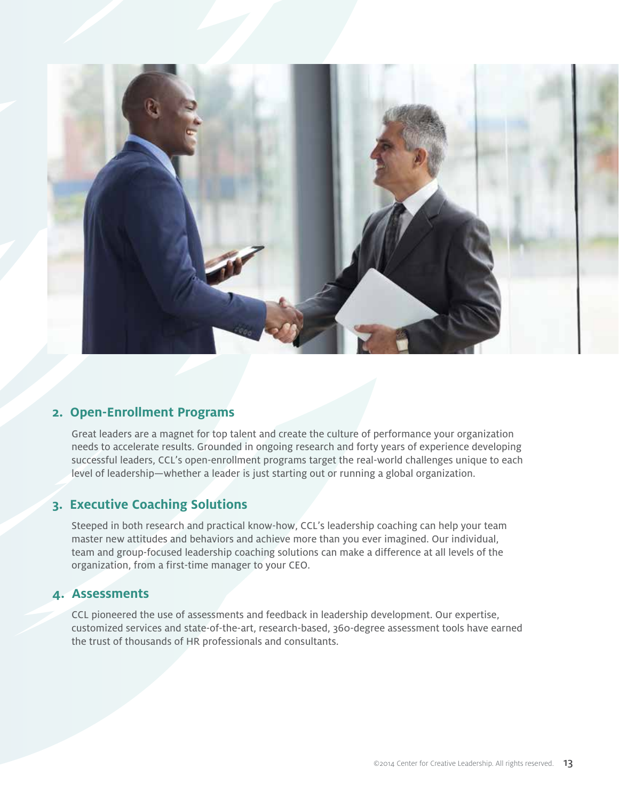

#### **2. Open-Enrollment Programs**

Great leaders are a magnet for top talent and create the culture of performance your organization needs to accelerate results. Grounded in ongoing research and forty years of experience developing successful leaders, CCL's open-enrollment programs target the real-world challenges unique to each level of leadership—whether a leader is just starting out or running a global organization.

### **3. Executive Coaching Solutions**

Steeped in both research and practical know-how, CCL's leadership coaching can help your team master new attitudes and behaviors and achieve more than you ever imagined. Our individual, team and group-focused leadership coaching solutions can make a difference at all levels of the organization, from a first-time manager to your CEO.

#### **4. Assessments**

CCL pioneered the use of assessments and feedback in leadership development. Our expertise, customized services and state-of-the-art, research-based, 360-degree assessment tools have earned the trust of thousands of HR professionals and consultants.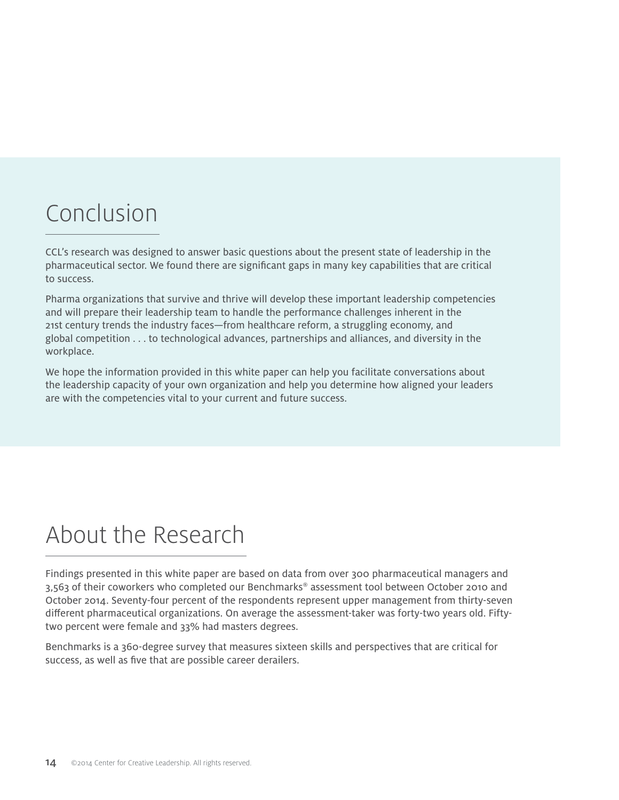# Conclusion

CCL's research was designed to answer basic questions about the present state of leadership in the pharmaceutical sector. We found there are significant gaps in many key capabilities that are critical to success.

Pharma organizations that survive and thrive will develop these important leadership competencies and will prepare their leadership team to handle the performance challenges inherent in the 21st century trends the industry faces—from healthcare reform, a struggling economy, and global competition . . . to technological advances, partnerships and alliances, and diversity in the workplace.

We hope the information provided in this white paper can help you facilitate conversations about the leadership capacity of your own organization and help you determine how aligned your leaders are with the competencies vital to your current and future success.

# About the Research

Findings presented in this white paper are based on data from over 300 pharmaceutical managers and 3,563 of their coworkers who completed our Benchmarks® assessment tool between October 2010 and October 2014. Seventy-four percent of the respondents represent upper management from thirty-seven different pharmaceutical organizations. On average the assessment-taker was forty-two years old. Fiftytwo percent were female and 33% had masters degrees.

Benchmarks is a 360-degree survey that measures sixteen skills and perspectives that are critical for success, as well as five that are possible career derailers.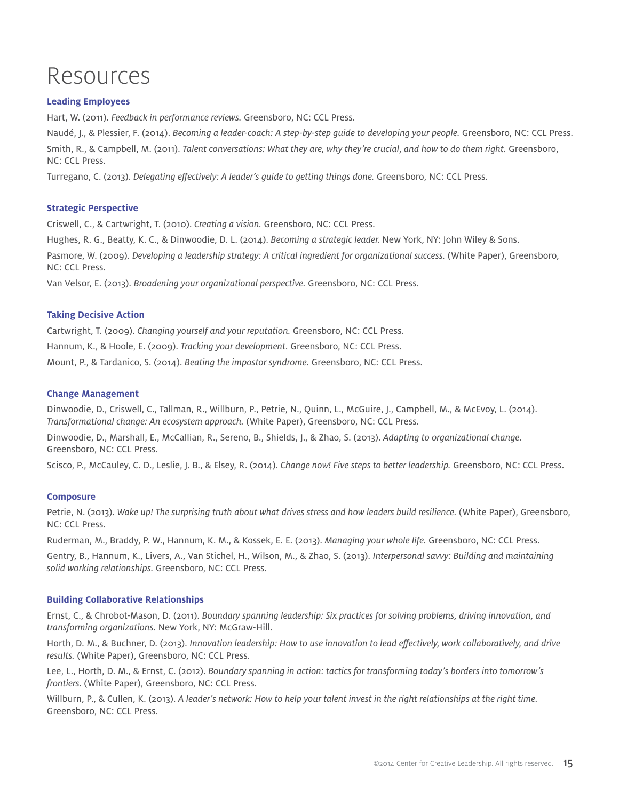# Resources

#### **Leading Employees**

Hart, W. (2011). *Feedback in performance reviews.* Greensboro, NC: CCL Press.

Naudé, J., & Plessier, F. (2014). *Becoming a leader-coach: A step-by-step guide to developing your people.* Greensboro, NC: CCL Press. Smith, R., & Campbell, M. (2011). *Talent conversations: What they are, why they're crucial, and how to do them right.* Greensboro, NC: CCL Press.

Turregano, C. (2013). *Delegating effectively: A leader's guide to getting things done.* Greensboro, NC: CCL Press.

#### **Strategic Perspective**

Criswell, C., & Cartwright, T. (2010). *Creating a vision.* Greensboro, NC: CCL Press.

Hughes, R. G., Beatty, K. C., & Dinwoodie, D. L. (2014). *Becoming a strategic leader.* New York, NY: John Wiley & Sons.

Pasmore, W. (2009). *Developing a leadership strategy: A critical ingredient for organizational success.* (White Paper), Greensboro, NC: CCL Press.

Van Velsor, E. (2013). *Broadening your organizational perspective.* Greensboro, NC: CCL Press.

#### **Taking Decisive Action**

Cartwright, T. (2009). *Changing yourself and your reputation.* Greensboro, NC: CCL Press.

Hannum, K., & Hoole, E. (2009). *Tracking your development.* Greensboro, NC: CCL Press.

Mount, P., & Tardanico, S. (2014). *Beating the impostor syndrome.* Greensboro, NC: CCL Press.

#### **Change Management**

Dinwoodie, D., Criswell, C., Tallman, R., Willburn, P., Petrie, N., Quinn, L., McGuire, J., Campbell, M., & McEvoy, L. (2014). *Transformational change: An ecosystem approach.* (White Paper), Greensboro, NC: CCL Press.

Dinwoodie, D., Marshall, E., McCallian, R., Sereno, B., Shields, J., & Zhao, S. (2013). *Adapting to organizational change.* Greensboro, NC: CCL Press.

Scisco, P., McCauley, C. D., Leslie, J. B., & Elsey, R. (2014). *Change now! Five steps to better leadership.* Greensboro, NC: CCL Press.

#### **Composure**

Petrie, N. (2013). Wake up! The surprising truth about what drives stress and how leaders build resilience. (White Paper), Greensboro, NC: CCL Press.

Ruderman, M., Braddy, P. W., Hannum, K. M., & Kossek, E. E. (2013). *Managing your whole life.* Greensboro, NC: CCL Press.

Gentry, B., Hannum, K., Livers, A., Van Stichel, H., Wilson, M., & Zhao, S. (2013). *Interpersonal savvy: Building and maintaining solid working relationships.* Greensboro, NC: CCL Press.

#### **Building Collaborative Relationships**

Ernst, C., & Chrobot-Mason, D. (2011). *Boundary spanning leadership: Six practices for solving problems, driving innovation, and transforming organizations.* New York, NY: McGraw-Hill.

Horth, D. M., & Buchner, D. (2013). *Innovation leadership: How to use innovation to lead effectively, work collaboratively, and drive results.* (White Paper), Greensboro, NC: CCL Press.

Lee, L., Horth, D. M., & Ernst, C. (2012). *Boundary spanning in action: tactics for transforming today's borders into tomorrow's frontiers.* (White Paper), Greensboro, NC: CCL Press.

Willburn, P., & Cullen, K. (2013). *A leader's network: How to help your talent invest in the right relationships at the right time.* Greensboro, NC: CCL Press.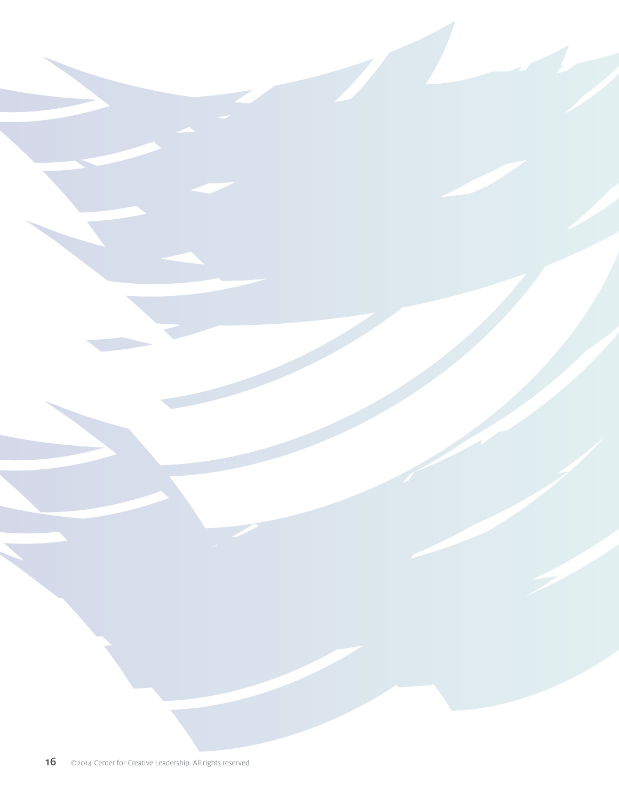16 ©2014 Center for Creative Leadership. All rights reserved.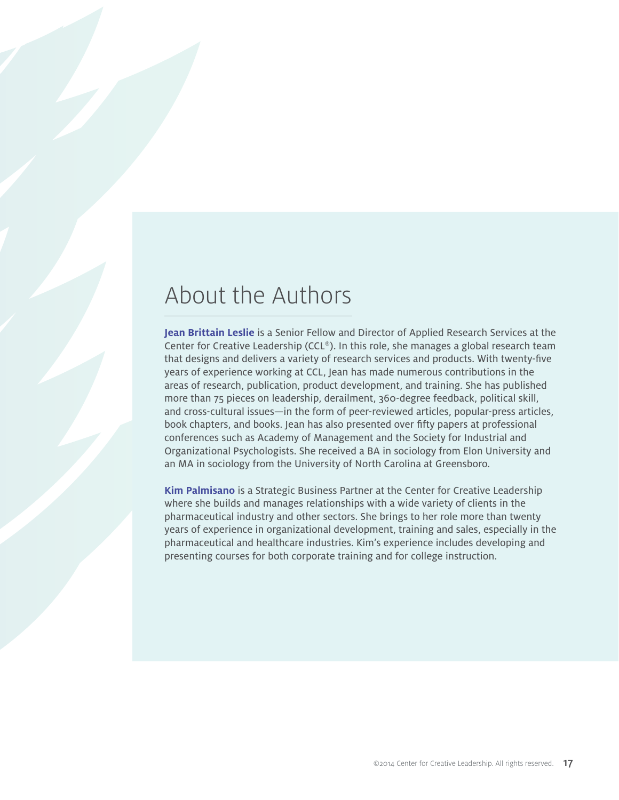## About the Authors

**Jean Brittain Leslie** is a Senior Fellow and Director of Applied Research Services at the Center for Creative Leadership (CCL®). In this role, she manages a global research team that designs and delivers a variety of research services and products. With twenty-five years of experience working at CCL, Jean has made numerous contributions in the areas of research, publication, product development, and training. She has published more than 75 pieces on leadership, derailment, 360-degree feedback, political skill, and cross-cultural issues—in the form of peer-reviewed articles, popular-press articles, book chapters, and books. Jean has also presented over fifty papers at professional conferences such as Academy of Management and the Society for Industrial and Organizational Psychologists. She received a BA in sociology from Elon University and an MA in sociology from the University of North Carolina at Greensboro.

**Kim Palmisano** is a Strategic Business Partner at the Center for Creative Leadership where she builds and manages relationships with a wide variety of clients in the pharmaceutical industry and other sectors. She brings to her role more than twenty years of experience in organizational development, training and sales, especially in the pharmaceutical and healthcare industries. Kim's experience includes developing and presenting courses for both corporate training and for college instruction.